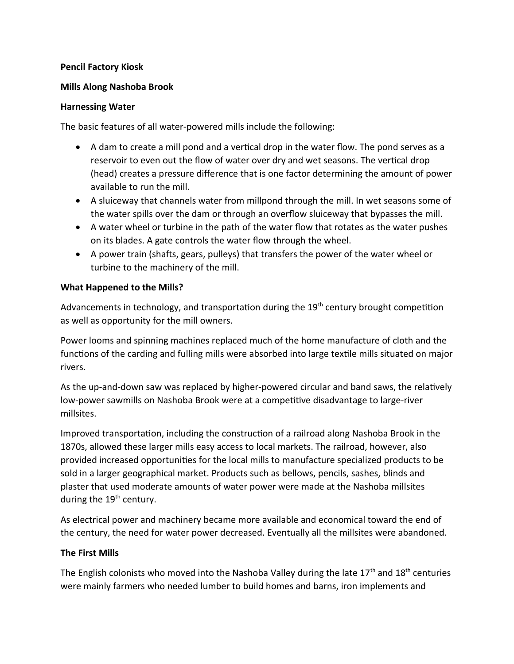## **Pencil Factory Kiosk**

#### **Mills Along Nashoba Brook**

#### **Harnessing Water**

The basic features of all water-powered mills include the following:

- A dam to create a mill pond and a vertical drop in the water flow. The pond serves as a reservoir to even out the flow of water over dry and wet seasons. The vertical drop (head) creates a pressure difference that is one factor determining the amount of power available to run the mill.
- A sluiceway that channels water from millpond through the mill. In wet seasons some of the water spills over the dam or through an overflow sluiceway that bypasses the mill.
- A water wheel or turbine in the path of the water flow that rotates as the water pushes on its blades. A gate controls the water flow through the wheel.
- A power train (shafts, gears, pulleys) that transfers the power of the water wheel or turbine to the machinery of the mill.

### **What Happened to the Mills?**

Advancements in technology, and transportation during the  $19<sup>th</sup>$  century brought competition as well as opportunity for the mill owners.

Power looms and spinning machines replaced much of the home manufacture of cloth and the functions of the carding and fulling mills were absorbed into large textile mills situated on major rivers.

As the up-and-down saw was replaced by higher-powered circular and band saws, the relatively low-power sawmills on Nashoba Brook were at a competitive disadvantage to large-river millsites.

Improved transportation, including the construction of a railroad along Nashoba Brook in the 1870s, allowed these larger mills easy access to local markets. The railroad, however, also provided increased opportunities for the local mills to manufacture specialized products to be sold in a larger geographical market. Products such as bellows, pencils, sashes, blinds and plaster that used moderate amounts of water power were made at the Nashoba millsites during the 19<sup>th</sup> century.

As electrical power and machinery became more available and economical toward the end of the century, the need for water power decreased. Eventually all the millsites were abandoned.

## **The First Mills**

The English colonists who moved into the Nashoba Valley during the late  $17<sup>th</sup>$  and  $18<sup>th</sup>$  centuries were mainly farmers who needed lumber to build homes and barns, iron implements and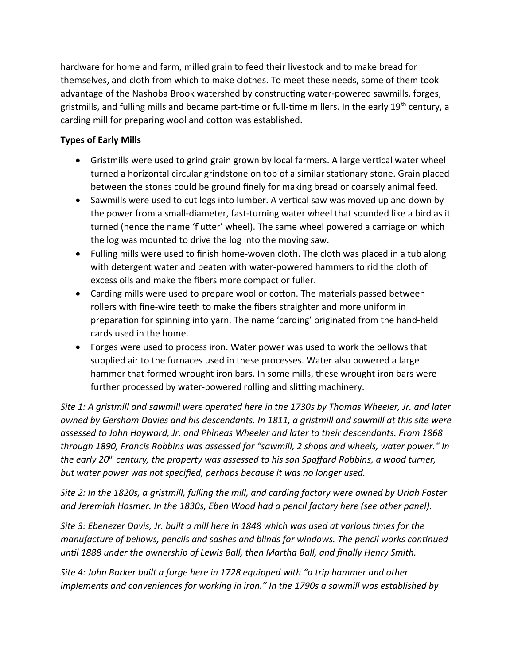hardware for home and farm, milled grain to feed their livestock and to make bread for themselves, and cloth from which to make clothes. To meet these needs, some of them took advantage of the Nashoba Brook watershed by constructing water-powered sawmills, forges, gristmills, and fulling mills and became part-time or full-time millers. In the early 19<sup>th</sup> century, a carding mill for preparing wool and cotton was established.

# **Types of Early Mills**

- Gristmills were used to grind grain grown by local farmers. A large vertical water wheel turned a horizontal circular grindstone on top of a similar stationary stone. Grain placed between the stones could be ground finely for making bread or coarsely animal feed.
- Sawmills were used to cut logs into lumber. A vertical saw was moved up and down by the power from a small-diameter, fast-turning water wheel that sounded like a bird as it turned (hence the name 'flutter' wheel). The same wheel powered a carriage on which the log was mounted to drive the log into the moving saw.
- Fulling mills were used to finish home-woven cloth. The cloth was placed in a tub along with detergent water and beaten with water-powered hammers to rid the cloth of excess oils and make the fibers more compact or fuller.
- Carding mills were used to prepare wool or cotton. The materials passed between rollers with fine-wire teeth to make the fibers straighter and more uniform in preparation for spinning into yarn. The name 'carding' originated from the hand-held cards used in the home.
- Forges were used to process iron. Water power was used to work the bellows that supplied air to the furnaces used in these processes. Water also powered a large hammer that formed wrought iron bars. In some mills, these wrought iron bars were further processed by water-powered rolling and slitting machinery.

*Site 1: A gristmill and sawmill were operated here in the 1730s by Thomas Wheeler, Jr. and later owned by Gershom Davies and his descendants. In 1811, a gristmill and sawmill at this site were assessed to John Hayward, Jr. and Phineas Wheeler and later to their descendants. From 1868 through 1890, Francis Robbins was assessed for "sawmill, 2 shops and wheels, water power." In the early 20th century, the property was assessed to his son Spoffard Robbins, a wood turner, but water power was not specified, perhaps because it was no longer used.*

*Site 2: In the 1820s, a gristmill, fulling the mill, and carding factory were owned by Uriah Foster and Jeremiah Hosmer. In the 1830s, Eben Wood had a pencil factory here (see other panel).*

*Site 3: Ebenezer Davis, Jr. built a mill here in 1848 which was used at various times for the manufacture of bellows, pencils and sashes and blinds for windows. The pencil works continued until 1888 under the ownership of Lewis Ball, then Martha Ball, and finally Henry Smith.*

*Site 4: John Barker built a forge here in 1728 equipped with "a trip hammer and other implements and conveniences for working in iron." In the 1790s a sawmill was established by*